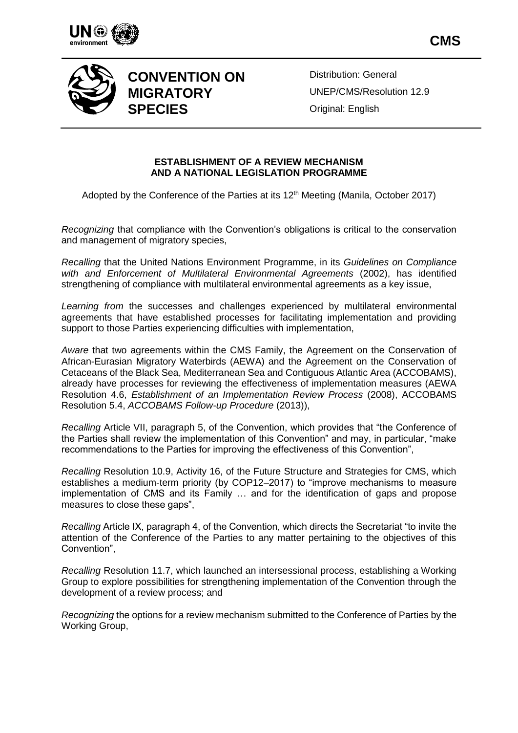

**CMS**



# **CONVENTION ON MIGRATORY SPECIES**

Distribution: General UNEP/CMS/Resolution 12.9 Original: English

# **ESTABLISHMENT OF A REVIEW MECHANISM AND A NATIONAL LEGISLATION PROGRAMME**

Adopted by the Conference of the Parties at its 12<sup>th</sup> Meeting (Manila, October 2017)

*Recognizing* that compliance with the Convention's obligations is critical to the conservation and management of migratory species,

*Recalling* that the United Nations Environment Programme, in its *Guidelines on Compliance with and Enforcement of Multilateral Environmental Agreements* (2002), has identified strengthening of compliance with multilateral environmental agreements as a key issue,

*Learning from* the successes and challenges experienced by multilateral environmental agreements that have established processes for facilitating implementation and providing support to those Parties experiencing difficulties with implementation,

*Aware* that two agreements within the CMS Family, the Agreement on the Conservation of African-Eurasian Migratory Waterbirds (AEWA) and the Agreement on the Conservation of Cetaceans of the Black Sea, Mediterranean Sea and Contiguous Atlantic Area (ACCOBAMS), already have processes for reviewing the effectiveness of implementation measures (AEWA Resolution 4.6, *Establishment of an Implementation Review Process* (2008), ACCOBAMS Resolution 5.4, *ACCOBAMS Follow-up Procedure* (2013)),

*Recalling* Article VII, paragraph 5, of the Convention, which provides that "the Conference of the Parties shall review the implementation of this Convention" and may, in particular, "make recommendations to the Parties for improving the effectiveness of this Convention",

*Recalling* Resolution 10.9, Activity 16, of the Future Structure and Strategies for CMS, which establishes a medium-term priority (by COP12–2017) to "improve mechanisms to measure implementation of CMS and its Family … and for the identification of gaps and propose measures to close these gaps",

*Recalling* Article IX, paragraph 4, of the Convention, which directs the Secretariat "to invite the attention of the Conference of the Parties to any matter pertaining to the objectives of this Convention",

*Recalling* Resolution 11.7, which launched an intersessional process, establishing a Working Group to explore possibilities for strengthening implementation of the Convention through the development of a review process; and

*Recognizing* the options for a review mechanism submitted to the Conference of Parties by the Working Group,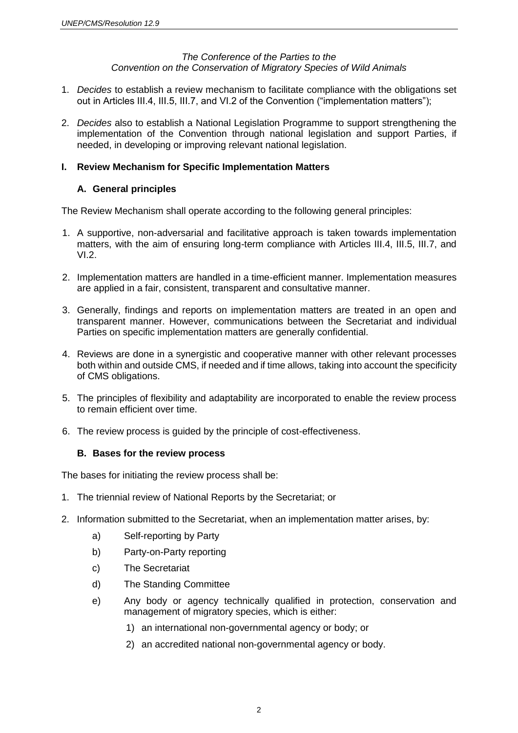#### *The Conference of the Parties to the Convention on the Conservation of Migratory Species of Wild Animals*

- 1. *Decides* to establish a review mechanism to facilitate compliance with the obligations set out in Articles III.4, III.5, III.7, and VI.2 of the Convention ("implementation matters");
- 2. *Decides* also to establish a National Legislation Programme to support strengthening the implementation of the Convention through national legislation and support Parties, if needed, in developing or improving relevant national legislation.

# **I. Review Mechanism for Specific Implementation Matters**

# **A. General principles**

The Review Mechanism shall operate according to the following general principles:

- 1. A supportive, non-adversarial and facilitative approach is taken towards implementation matters, with the aim of ensuring long-term compliance with Articles III.4, III.5, III.7, and  $VI.2$
- 2. Implementation matters are handled in a time-efficient manner. Implementation measures are applied in a fair, consistent, transparent and consultative manner.
- 3. Generally, findings and reports on implementation matters are treated in an open and transparent manner. However, communications between the Secretariat and individual Parties on specific implementation matters are generally confidential.
- 4. Reviews are done in a synergistic and cooperative manner with other relevant processes both within and outside CMS, if needed and if time allows, taking into account the specificity of CMS obligations.
- 5. The principles of flexibility and adaptability are incorporated to enable the review process to remain efficient over time.
- 6. The review process is guided by the principle of cost-effectiveness.

# **B. Bases for the review process**

The bases for initiating the review process shall be:

- 1. The triennial review of National Reports by the Secretariat; or
- 2. Information submitted to the Secretariat, when an implementation matter arises, by:
	- a) Self-reporting by Party
	- b) Party-on-Party reporting
	- c) The Secretariat
	- d) The Standing Committee
	- e) Any body or agency technically qualified in protection, conservation and management of migratory species, which is either:
		- 1) an international non-governmental agency or body; or
		- 2) an accredited national non-governmental agency or body.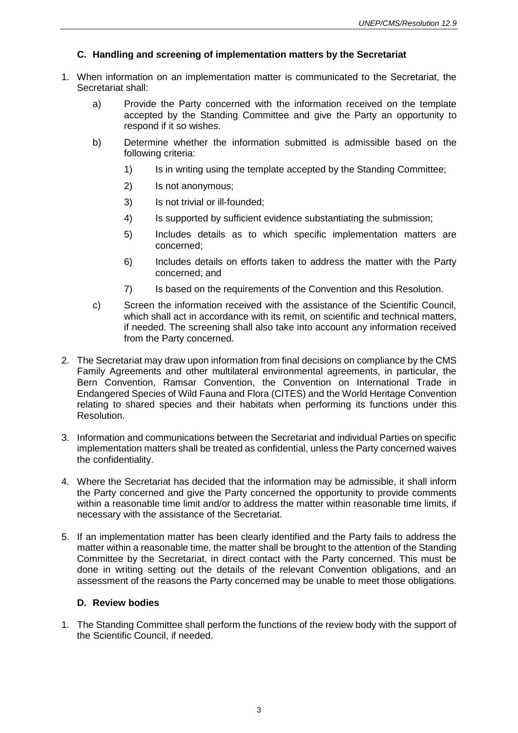# **C. Handling and screening of implementation matters by the Secretariat**

- 1. When information on an implementation matter is communicated to the Secretariat, the Secretariat shall:
	- a) Provide the Party concerned with the information received on the template accepted by the Standing Committee and give the Party an opportunity to respond if it so wishes.
	- b) Determine whether the information submitted is admissible based on the following criteria:
		- 1) Is in writing using the template accepted by the Standing Committee;
		- 2) Is not anonymous;
		- 3) Is not trivial or ill-founded;
		- 4) Is supported by sufficient evidence substantiating the submission;
		- 5) Includes details as to which specific implementation matters are concerned;
		- 6) Includes details on efforts taken to address the matter with the Party concerned; and
		- 7) Is based on the requirements of the Convention and this Resolution.
	- c) Screen the information received with the assistance of the Scientific Council, which shall act in accordance with its remit, on scientific and technical matters, if needed. The screening shall also take into account any information received from the Party concerned.
- 2. The Secretariat may draw upon information from final decisions on compliance by the CMS Family Agreements and other multilateral environmental agreements, in particular, the Bern Convention, Ramsar Convention, the Convention on International Trade in Endangered Species of Wild Fauna and Flora (CITES) and the World Heritage Convention relating to shared species and their habitats when performing its functions under this Resolution.
- 3. Information and communications between the Secretariat and individual Parties on specific implementation matters shall be treated as confidential, unless the Party concerned waives the confidentiality.
- 4. Where the Secretariat has decided that the information may be admissible, it shall inform the Party concerned and give the Party concerned the opportunity to provide comments within a reasonable time limit and/or to address the matter within reasonable time limits, if necessary with the assistance of the Secretariat.
- 5. If an implementation matter has been clearly identified and the Party fails to address the matter within a reasonable time, the matter shall be brought to the attention of the Standing Committee by the Secretariat, in direct contact with the Party concerned. This must be done in writing setting out the details of the relevant Convention obligations, and an assessment of the reasons the Party concerned may be unable to meet those obligations.

#### **D. Review bodies**

1. The Standing Committee shall perform the functions of the review body with the support of the Scientific Council, if needed.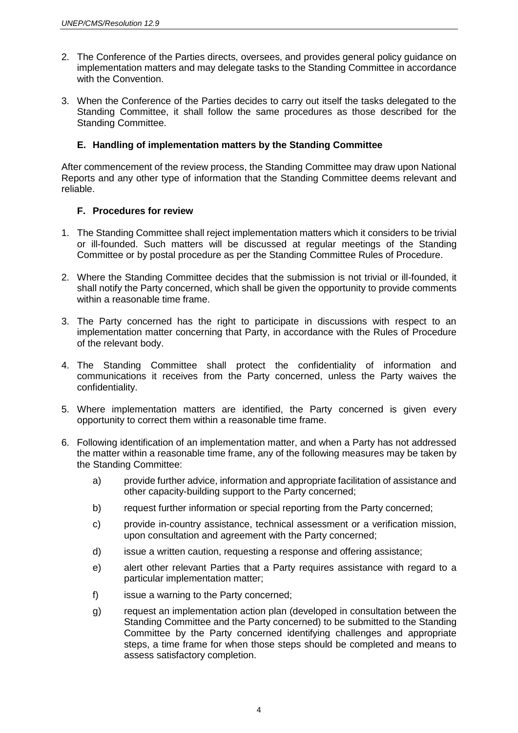- 2. The Conference of the Parties directs, oversees, and provides general policy guidance on implementation matters and may delegate tasks to the Standing Committee in accordance with the Convention.
- 3. When the Conference of the Parties decides to carry out itself the tasks delegated to the Standing Committee, it shall follow the same procedures as those described for the Standing Committee.

#### **E. Handling of implementation matters by the Standing Committee**

After commencement of the review process, the Standing Committee may draw upon National Reports and any other type of information that the Standing Committee deems relevant and reliable.

#### **F. Procedures for review**

- 1. The Standing Committee shall reject implementation matters which it considers to be trivial or ill-founded. Such matters will be discussed at regular meetings of the Standing Committee or by postal procedure as per the Standing Committee Rules of Procedure.
- 2. Where the Standing Committee decides that the submission is not trivial or ill-founded, it shall notify the Party concerned, which shall be given the opportunity to provide comments within a reasonable time frame.
- 3. The Party concerned has the right to participate in discussions with respect to an implementation matter concerning that Party, in accordance with the Rules of Procedure of the relevant body.
- 4. The Standing Committee shall protect the confidentiality of information and communications it receives from the Party concerned, unless the Party waives the confidentiality.
- 5. Where implementation matters are identified, the Party concerned is given every opportunity to correct them within a reasonable time frame.
- 6. Following identification of an implementation matter, and when a Party has not addressed the matter within a reasonable time frame, any of the following measures may be taken by the Standing Committee:
	- a) provide further advice, information and appropriate facilitation of assistance and other capacity-building support to the Party concerned;
	- b) request further information or special reporting from the Party concerned;
	- c) provide in-country assistance, technical assessment or a verification mission, upon consultation and agreement with the Party concerned;
	- d) issue a written caution, requesting a response and offering assistance;
	- e) alert other relevant Parties that a Party requires assistance with regard to a particular implementation matter;
	- f) issue a warning to the Party concerned;
	- g) request an implementation action plan (developed in consultation between the Standing Committee and the Party concerned) to be submitted to the Standing Committee by the Party concerned identifying challenges and appropriate steps, a time frame for when those steps should be completed and means to assess satisfactory completion.